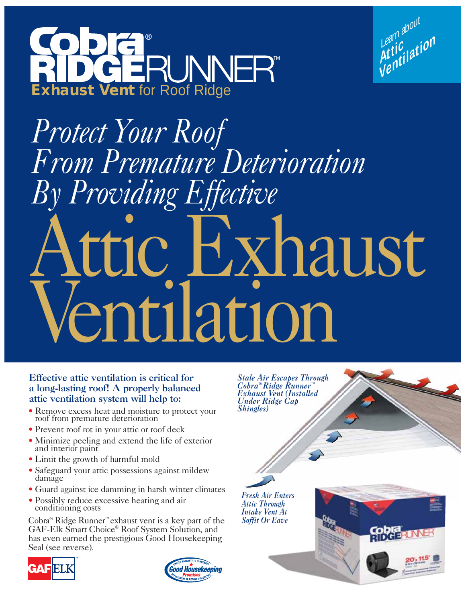



# *Protect Your Roof From Premature Deterioration By Providing Effective* c Exhaust Ventilation

# Effective attic ventilation is critical for a long-lasting roof! A properly balanced attic ventilation system will help to:

- Remove excess heat and moisture to protect your roof from premature deterioration
- Prevent roof rot in your attic or roof deck
- Minimize peeling and extend the life of exterior and interior paint
- Limit the growth of harmful mold
- Safeguard your attic possessions against mildew damage
- Guard against ice damming in harsh winter climates
- Possibly reduce excessive heating and air conditioning costs

Cobra® Ridge Runner™ exhaust vent is a key part of the GAF-Elk Smart Choice® Roof System Solution, and has even earned the prestigious Good Housekeeping Seal (see reverse).





*Stale Air Escapes Through Cobra® Ridge Runner™ Exhaust Vent (Installed Under Ridge Cap Shingles)*

*Fresh Air Enters Attic Through Intake Vent At Soffit Or Eave*